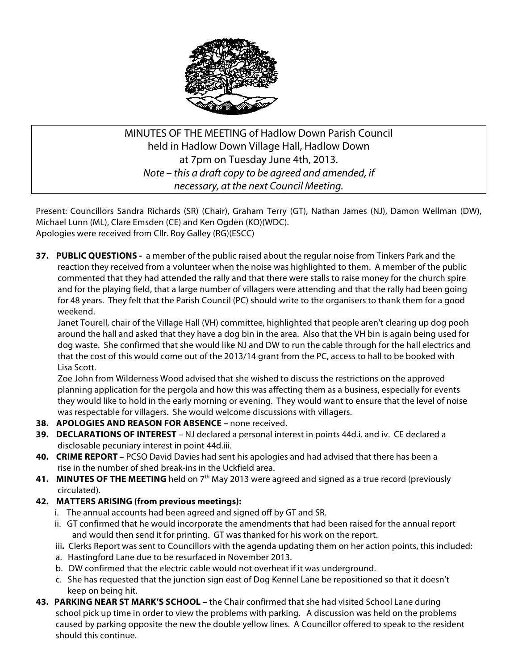

# MINUTES OF THE MEETING of Hadlow Down Parish Council held in Hadlow Down Village Hall, Hadlow Down at 7pm on Tuesday June 4th, 2013. *Note – this a draft copy to be agreed and amended, if necessary, at the next Council Meeting.*

Present: Councillors Sandra Richards (SR) (Chair), Graham Terry (GT), Nathan James (NJ), Damon Wellman (DW), Michael Lunn (ML), Clare Emsden (CE) and Ken Ogden (KO)(WDC). Apologies were received from Cllr. Roy Galley (RG)(ESCC)

**37. PUBLIC QUESTIONS -** a member of the public raised about the regular noise from Tinkers Park and the reaction they received from a volunteer when the noise was highlighted to them. A member of the public commented that they had attended the rally and that there were stalls to raise money for the church spire and for the playing field, that a large number of villagers were attending and that the rally had been going for 48 years. They felt that the Parish Council (PC) should write to the organisers to thank them for a good weekend.

 Janet Tourell, chair of the Village Hall (VH) committee, highlighted that people aren't clearing up dog pooh around the hall and asked that they have a dog bin in the area. Also that the VH bin is again being used for dog waste. She confirmed that she would like NJ and DW to run the cable through for the hall electrics and that the cost of this would come out of the 2013/14 grant from the PC, access to hall to be booked with Lisa Scott.

 Zoe John from Wilderness Wood advised that she wished to discuss the restrictions on the approved planning application for the pergola and how this was affecting them as a business, especially for events they would like to hold in the early morning or evening. They would want to ensure that the level of noise was respectable for villagers. She would welcome discussions with villagers.

- **38. APOLOGIES AND REASON FOR ABSENCE –** none received.
- **39. DECLARATIONS OF INTEREST** NJ declared a personal interest in points 44d.i. and iv. CE declared a disclosable pecuniary interest in point 44d.iii.
- **40. CRIME REPORT –** PCSO David Davies had sent his apologies and had advised that there has been a rise in the number of shed break-ins in the Uckfield area.
- **41. MINUTES OF THE MEETING** held on 7<sup>th</sup> May 2013 were agreed and signed as a true record (previously circulated).
- **42. MATTERS ARISING (from previous meetings):**
	- i. The annual accounts had been agreed and signed off by GT and SR.
	- ii. GT confirmed that he would incorporate the amendments that had been raised for the annual report and would then send it for printing. GT was thanked for his work on the report.
	- iii**.** Clerks Report was sent to Councillors with the agenda updating them on her action points, this included:
	- a. Hastingford Lane due to be resurfaced in November 2013.
	- b. DW confirmed that the electric cable would not overheat if it was underground.
	- c. She has requested that the junction sign east of Dog Kennel Lane be repositioned so that it doesn't keep on being hit.
- **43. PARKING NEAR ST MARK'S SCHOOL –** the Chair confirmed that she had visited School Lane during school pick up time in order to view the problems with parking. A discussion was held on the problems caused by parking opposite the new the double yellow lines. A Councillor offered to speak to the resident should this continue.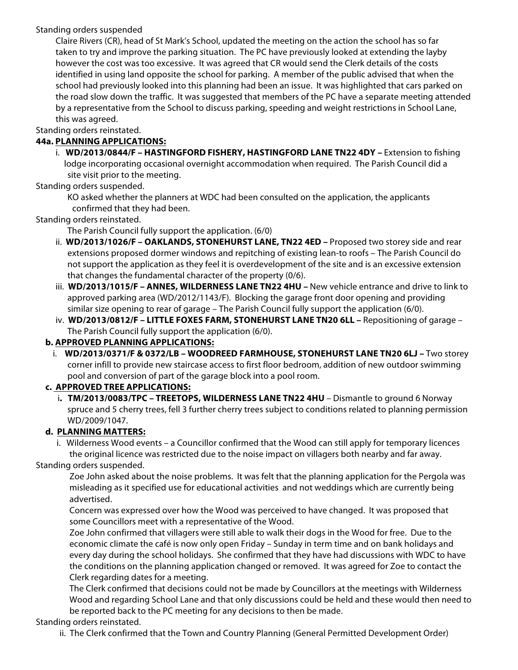### Standing orders suspended

 Claire Rivers (CR), head of St Mark's School, updated the meeting on the action the school has so far taken to try and improve the parking situation. The PC have previously looked at extending the layby however the cost was too excessive. It was agreed that CR would send the Clerk details of the costs identified in using land opposite the school for parking. A member of the public advised that when the school had previously looked into this planning had been an issue. It was highlighted that cars parked on the road slow down the traffic. It was suggested that members of the PC have a separate meeting attended by a representative from the School to discuss parking, speeding and weight restrictions in School Lane, this was agreed.

Standing orders reinstated.

### **44a. PLANNING APPLICATIONS:**

 i. **WD/2013/0844/F – HASTINGFORD FISHERY, HASTINGFORD LANE TN22 4DY –** Extension to fishing lodge incorporating occasional overnight accommodation when required. The Parish Council did a site visit prior to the meeting.

Standing orders suspended.

 KO asked whether the planners at WDC had been consulted on the application, the applicants confirmed that they had been.

#### Standing orders reinstated.

The Parish Council fully support the application. (6/0)

- ii. **WD/2013/1026/F – OAKLANDS, STONEHURST LANE, TN22 4ED –** Proposed two storey side and rear extensions proposed dormer windows and repitching of existing lean-to roofs – The Parish Council do not support the application as they feel it is overdevelopment of the site and is an excessive extension that changes the fundamental character of the property (0/6).
- iii. **WD/2013/1015/F – ANNES, WILDERNESS LANE TN22 4HU –** New vehicle entrance and drive to link to approved parking area (WD/2012/1143/F). Blocking the garage front door opening and providing similar size opening to rear of garage – The Parish Council fully support the application (6/0).
- iv. **WD/2013/0812/F – LITTLE FOXES FARM, STONEHURST LANE TN20 6LL –** Repositioning of garage The Parish Council fully support the application (6/0).

### **b. APPROVED PLANNING APPLICATIONS:**

i. **WD/2013/0371/F & 0372/LB – WOODREED FARMHOUSE, STONEHURST LANE TN20 6LJ –** Two storey corner infill to provide new staircase access to first floor bedroom, addition of new outdoor swimming pool and conversion of part of the garage block into a pool room.

### **c. APPROVED TREE APPLICATIONS:**

 i**. TM/2013/0083/TPC – TREETOPS, WILDERNESS LANE TN22 4HU** – Dismantle to ground 6 Norway spruce and 5 cherry trees, fell 3 further cherry trees subject to conditions related to planning permission WD/2009/1047.

### **d. PLANNING MATTERS:**

i. Wilderness Wood events – a Councillor confirmed that the Wood can still apply for temporary licences the original licence was restricted due to the noise impact on villagers both nearby and far away.

Standing orders suspended.

 Zoe John asked about the noise problems. It was felt that the planning application for the Pergola was misleading as it specified use for educational activities and not weddings which are currently being advertised.

 Concern was expressed over how the Wood was perceived to have changed. It was proposed that some Councillors meet with a representative of the Wood.

 Zoe John confirmed that villagers were still able to walk their dogs in the Wood for free. Due to the economic climate the café is now only open Friday – Sunday in term time and on bank holidays and every day during the school holidays. She confirmed that they have had discussions with WDC to have the conditions on the planning application changed or removed. It was agreed for Zoe to contact the Clerk regarding dates for a meeting.

 The Clerk confirmed that decisions could not be made by Councillors at the meetings with Wilderness Wood and regarding School Lane and that only discussions could be held and these would then need to be reported back to the PC meeting for any decisions to then be made.

### Standing orders reinstated.

ii. The Clerk confirmed that the Town and Country Planning (General Permitted Development Order)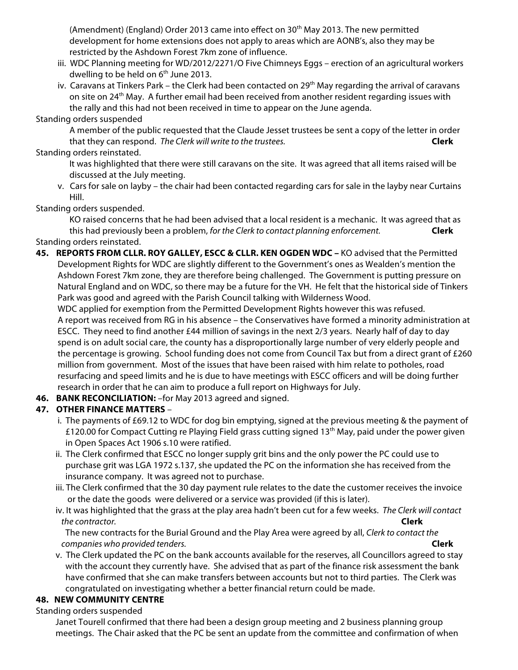(Amendment) (England) Order 2013 came into effect on  $30<sup>th</sup>$  May 2013. The new permitted development for home extensions does not apply to areas which are AONB's, also they may be restricted by the Ashdown Forest 7km zone of influence.

- iii. WDC Planning meeting for WD/2012/2271/O Five Chimneys Eggs erection of an agricultural workers dwelling to be held on  $6<sup>th</sup>$  June 2013.
- iv. Caravans at Tinkers Park the Clerk had been contacted on 29<sup>th</sup> May regarding the arrival of caravans on site on 24<sup>th</sup> May. A further email had been received from another resident regarding issues with the rally and this had not been received in time to appear on the June agenda.

#### Standing orders suspended

 A member of the public requested that the Claude Jesset trustees be sent a copy of the letter in order that they can respond. *The Clerk will write to the trustees.* **Clerk**

#### Standing orders reinstated.

- It was highlighted that there were still caravans on the site. It was agreed that all items raised will be discussed at the July meeting.
- v. Cars for sale on layby the chair had been contacted regarding cars for sale in the layby near Curtains Hill.

### Standing orders suspended.

 KO raised concerns that he had been advised that a local resident is a mechanic. It was agreed that as this had previously been a problem, *for the Clerk to contact planning enforcement.* **Clerk** Standing orders reinstated.

**45. REPORTS FROM CLLR. ROY GALLEY, ESCC & CLLR. KEN OGDEN WDC –** KO advised that the Permitted Development Rights for WDC are slightly different to the Government's ones as Wealden's mention the Ashdown Forest 7km zone, they are therefore being challenged. The Government is putting pressure on Natural England and on WDC, so there may be a future for the VH. He felt that the historical side of Tinkers Park was good and agreed with the Parish Council talking with Wilderness Wood.

 WDC applied for exemption from the Permitted Development Rights however this was refused. A report was received from RG in his absence – the Conservatives have formed a minority administration at ESCC. They need to find another £44 million of savings in the next 2/3 years. Nearly half of day to day spend is on adult social care, the county has a disproportionally large number of very elderly people and the percentage is growing. School funding does not come from Council Tax but from a direct grant of £260 million from government. Most of the issues that have been raised with him relate to potholes, road resurfacing and speed limits and he is due to have meetings with ESCC officers and will be doing further research in order that he can aim to produce a full report on Highways for July.

**46. BANK RECONCILIATION:** –for May 2013 agreed and signed.

### **47. OTHER FINANCE MATTERS** –

- i. The payments of £69.12 to WDC for dog bin emptying, signed at the previous meeting & the payment of £120.00 for Compact Cutting re Playing Field grass cutting signed 13<sup>th</sup> May, paid under the power given in Open Spaces Act 1906 s.10 were ratified.
- ii. The Clerk confirmed that ESCC no longer supply grit bins and the only power the PC could use to purchase grit was LGA 1972 s.137, she updated the PC on the information she has received from the insurance company. It was agreed not to purchase.
- iii. The Clerk confirmed that the 30 day payment rule relates to the date the customer receives the invoice or the date the goods were delivered or a service was provided (if this is later).
- iv. It was highlighted that the grass at the play area hadn't been cut for a few weeks. *The Clerk will contact the contractor.* **Clerk**

 The new contracts for the Burial Ground and the Play Area were agreed by all, *Clerk to contact the companies who provided tenders.* **Clerk**

 v. The Clerk updated the PC on the bank accounts available for the reserves, all Councillors agreed to stay with the account they currently have. She advised that as part of the finance risk assessment the bank have confirmed that she can make transfers between accounts but not to third parties. The Clerk was congratulated on investigating whether a better financial return could be made.

### **48. NEW COMMUNITY CENTRE**

### Standing orders suspended

 Janet Tourell confirmed that there had been a design group meeting and 2 business planning group meetings. The Chair asked that the PC be sent an update from the committee and confirmation of when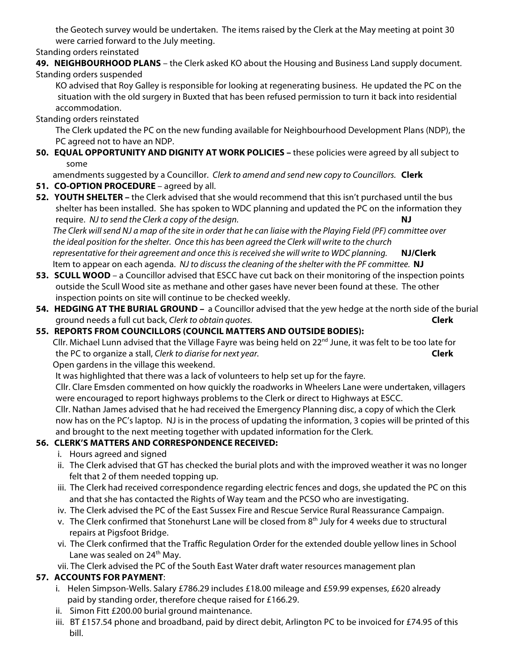the Geotech survey would be undertaken. The items raised by the Clerk at the May meeting at point 30 were carried forward to the July meeting.

Standing orders reinstated

**49. NEIGHBOURHOOD PLANS** – the Clerk asked KO about the Housing and Business Land supply document. Standing orders suspended

 KO advised that Roy Galley is responsible for looking at regenerating business. He updated the PC on the situation with the old surgery in Buxted that has been refused permission to turn it back into residential accommodation.

Standing orders reinstated

 The Clerk updated the PC on the new funding available for Neighbourhood Development Plans (NDP), the PC agreed not to have an NDP.

**50. EQUAL OPPORTUNITY AND DIGNITY AT WORK POLICIES –** these policies were agreed by all subject to some

amendments suggested by a Councillor. *Clerk to amend and send new copy to Councillors.* **Clerk**

- **51. CO-OPTION PROCEDURE** agreed by all.
- **52. YOUTH SHELTER –** the Clerk advised that she would recommend that this isn't purchased until the bus shelter has been installed. She has spoken to WDC planning and updated the PC on the information they require. *NJ to send the Clerk a copy of the design.* **NJ**

*The Clerk will send NJ a map of the site in order that he can liaise with the Playing Field (PF) committee over the ideal position for the shelter. Once this has been agreed the Clerk will write to the church representative for their agreement and once this is received she will write to WDC planning.* **NJ/Clerk** Item to appear on each agenda. *NJ to discuss the cleaning of the shelter with the PF committee.* **NJ**

- **53. SCULL WOOD**  a Councillor advised that ESCC have cut back on their monitoring of the inspection points outside the Scull Wood site as methane and other gases have never been found at these. The other inspection points on site will continue to be checked weekly.
- **54. HEDGING AT THE BURIAL GROUND –** a Councillor advised that the yew hedge at the north side of the burial ground needs a full cut back, *Clerk to obtain quotes.* **Clerk**

## **55. REPORTS FROM COUNCILLORS (COUNCIL MATTERS AND OUTSIDE BODIES):**

Cllr. Michael Lunn advised that the Village Fayre was being held on 22nd June, it was felt to be too late for the PC to organize a stall, *Clerk to diarise for next year.* **Clerk**

Open gardens in the village this weekend.

It was highlighted that there was a lack of volunteers to help set up for the fayre.

 Cllr. Clare Emsden commented on how quickly the roadworks in Wheelers Lane were undertaken, villagers were encouraged to report highways problems to the Clerk or direct to Highways at ESCC.

 Cllr. Nathan James advised that he had received the Emergency Planning disc, a copy of which the Clerk now has on the PC's laptop. NJ is in the process of updating the information, 3 copies will be printed of this and brought to the next meeting together with updated information for the Clerk.

## **56. CLERK'S MATTERS AND CORRESPONDENCE RECEIVED:**

- i. Hours agreed and signed
- ii. The Clerk advised that GT has checked the burial plots and with the improved weather it was no longer felt that 2 of them needed topping up.
- iii. The Clerk had received correspondence regarding electric fences and dogs, she updated the PC on this and that she has contacted the Rights of Way team and the PCSO who are investigating.
- iv. The Clerk advised the PC of the East Sussex Fire and Rescue Service Rural Reassurance Campaign.
- v. The Clerk confirmed that Stonehurst Lane will be closed from 8<sup>th</sup> July for 4 weeks due to structural repairs at Pigsfoot Bridge.
- vi. The Clerk confirmed that the Traffic Regulation Order for the extended double yellow lines in School Lane was sealed on 24<sup>th</sup> May.
- vii. The Clerk advised the PC of the South East Water draft water resources management plan

# **57. ACCOUNTS FOR PAYMENT**:

- i. Helen Simpson-Wells. Salary £786.29 includes £18.00 mileage and £59.99 expenses, £620 already paid by standing order, therefore cheque raised for £166.29.
- ii. Simon Fitt £200.00 burial ground maintenance.
- iii. BT £157.54 phone and broadband, paid by direct debit, Arlington PC to be invoiced for £74.95 of this bill.